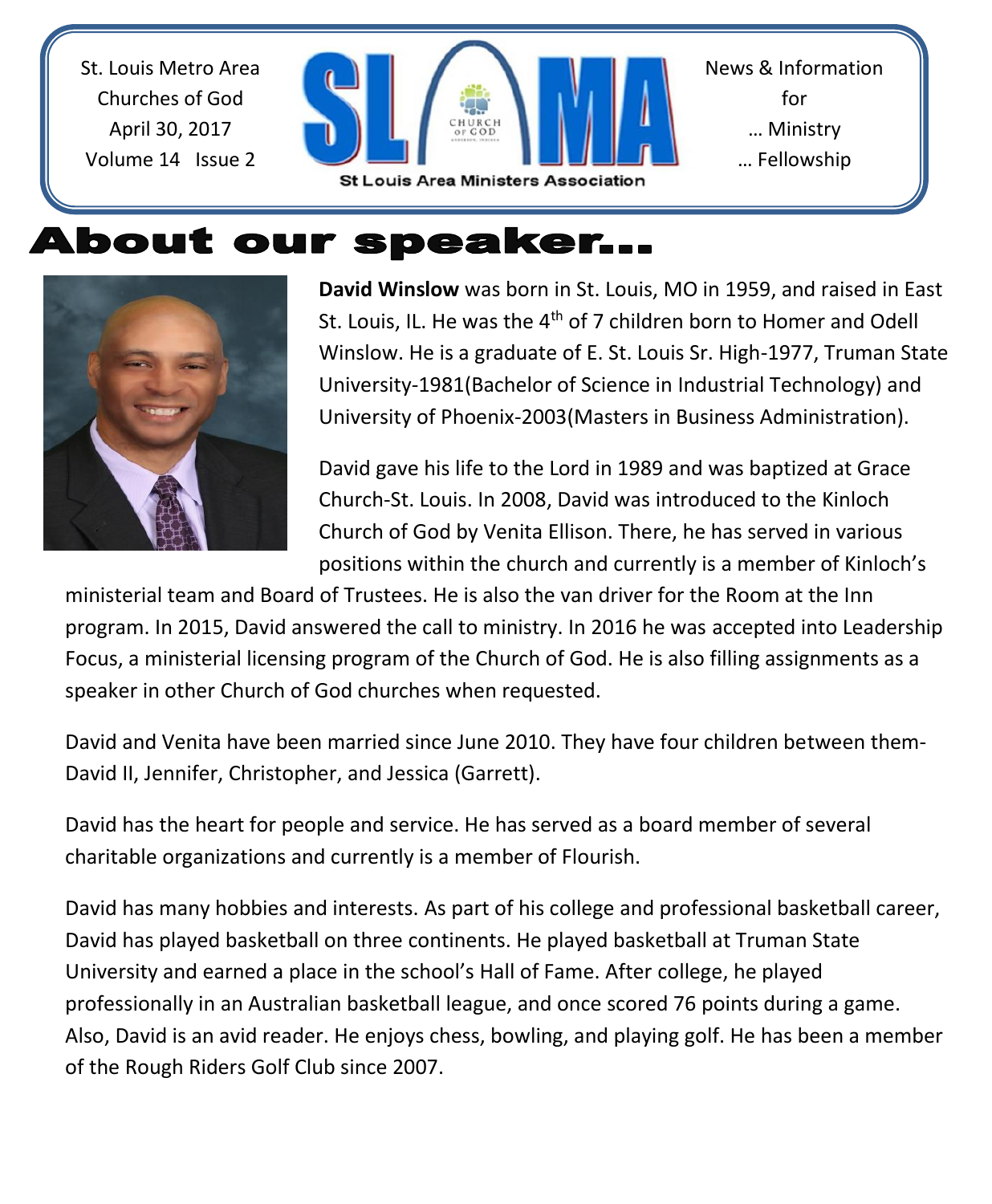St. Louis Metro Area Churches of God April 30, 2017 Volume 14 Issue 2



# About our speaker...



**David Winslow** was born in St. Louis, MO in 1959, and raised in East St. Louis, IL. He was the 4<sup>th</sup> of 7 children born to Homer and Odell Winslow. He is a graduate of E. St. Louis Sr. High-1977, Truman State University-1981(Bachelor of Science in Industrial Technology) and University of Phoenix-2003(Masters in Business Administration).

David gave his life to the Lord in 1989 and was baptized at Grace Church-St. Louis. In 2008, David was introduced to the Kinloch Church of God by Venita Ellison. There, he has served in various positions within the church and currently is a member of Kinloch's

ministerial team and Board of Trustees. He is also the van driver for the Room at the Inn program. In 2015, David answered the call to ministry. In 2016 he was accepted into Leadership Focus, a ministerial licensing program of the Church of God. He is also filling assignments as a speaker in other Church of God churches when requested.

David and Venita have been married since June 2010. They have four children between them-David II, Jennifer, Christopher, and Jessica (Garrett).

David has the heart for people and service. He has served as a board member of several charitable organizations and currently is a member of Flourish.

David has many hobbies and interests. As part of his college and professional basketball career, David has played basketball on three continents. He played basketball at Truman State University and earned a place in the school's Hall of Fame. After college, he played professionally in an Australian basketball league, and once scored 76 points during a game. Also, David is an avid reader. He enjoys chess, bowling, and playing golf. He has been a member of the Rough Riders Golf Club since 2007.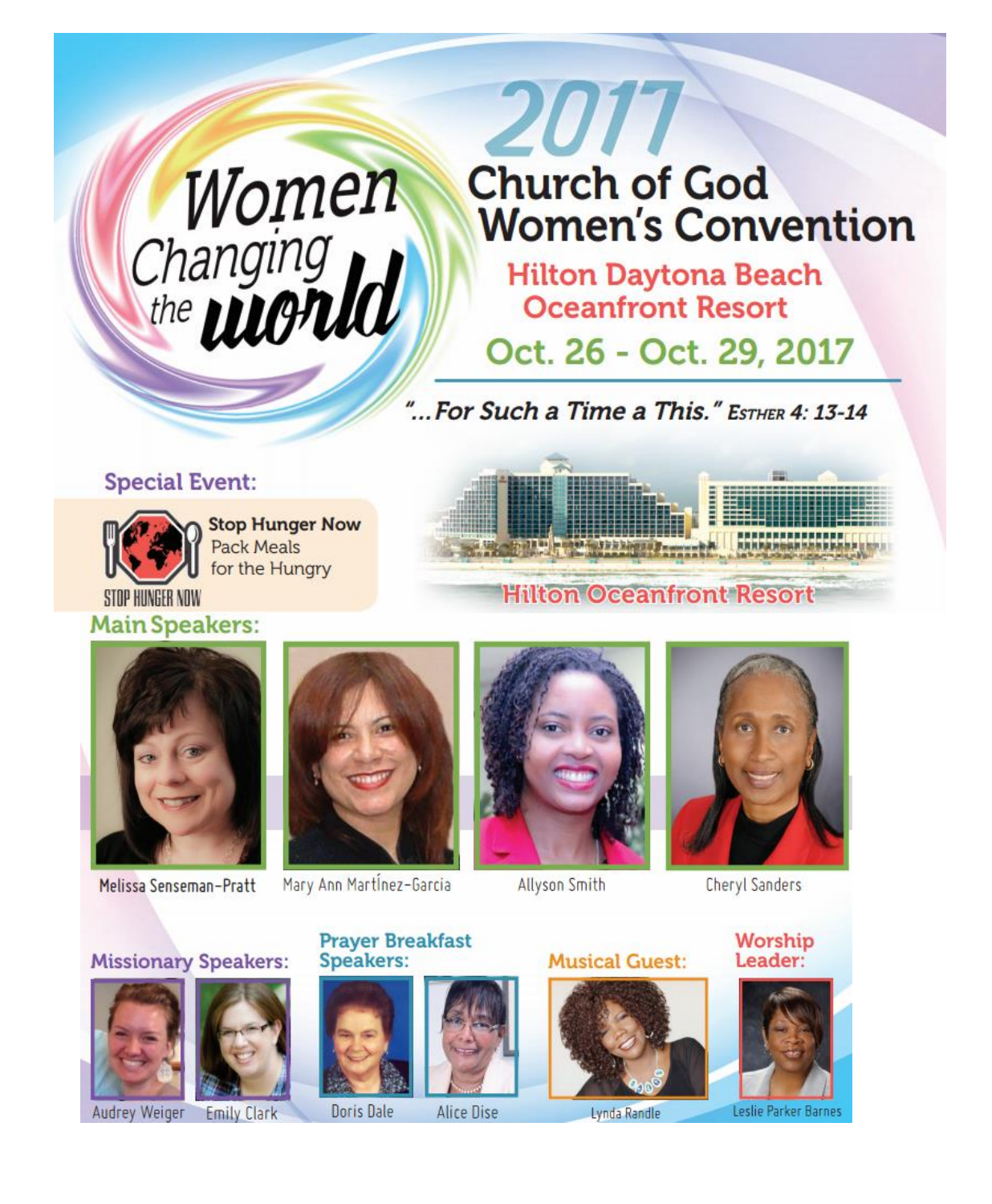# Women<br>Changing<br>the **World**

# 2017 **Church of God Women's Convention**

**Hilton Daytona Beach Oceanfront Resort** 

Oct. 26 - Oct. 29, 2017

"... For Such a Time a This." ESTHER 4: 13-14

### **Special Event:**



**Stop Hunger Now Pack Meals** for the Hungry





**Main Speakers:** 

Melissa Senseman-Pratt



Mary Ann Martinez-Garcia

**Speakers:** 



**Allyson Smith** 



**Cheryl Sanders** 

**Missionary Speakers:** 











**Prayer Breakfast** 

Doris Dale **Alice Dise**  **Musical Guest:** 



Lynda Randle





Leslie Parker Barne:



**Emily Clark**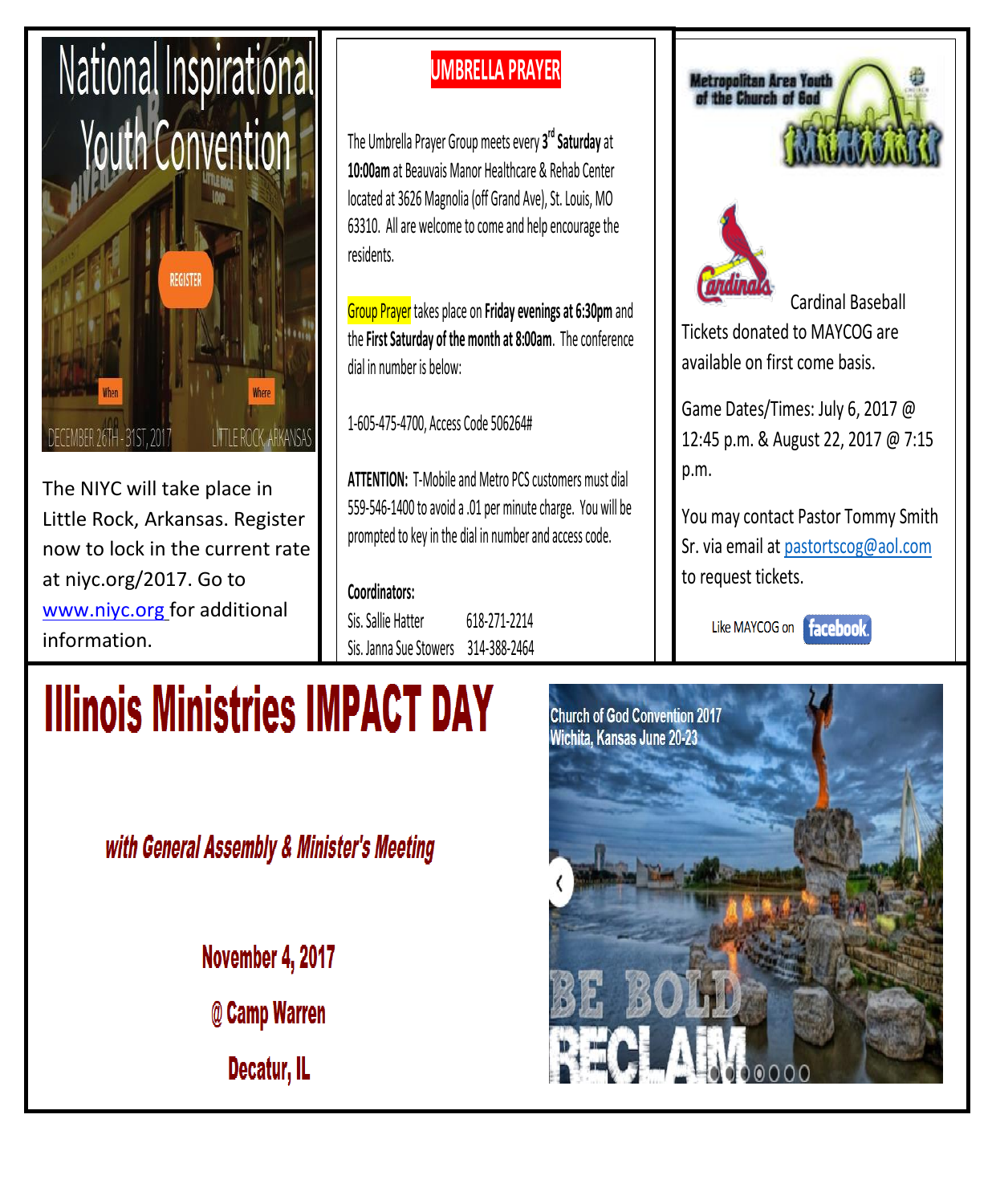

The NIYC will take place in Little Rock, Arkansas. Register now to lock in the current rate at niyc.org/2017. Go to [www.niyc.org](http://www.niyc.org/) for additional information.

## **UMBRELLA PRAYER**

The Umbrella Prayer Group meets every **3 rd Saturday** at **10:00am** at Beauvais Manor Healthcare & Rehab Center located at 3626 Magnolia (off Grand Ave), St. Louis, MO 63310. All are welcome to come and help encourage the residents.

Group Prayer takes place on **Friday evenings at 6:30pm** and the **First Saturday of the month at 8:00am**. The conference dial in number is below:

1-605-475-4700, Access Code 506264#

**ATTENTION:** T-Mobile and Metro PCS customers must dial 559-546-1400 to avoid a .01 per minute charge. You will be prompted to key in the dial in number and access code.

**Coordinators:** Sis. Sallie Hatter 618-271-2214 Sis. Janna Sue Stowers 314-388-2464





Cardinal Baseball

Tickets donated to MAYCOG are available on first come basis.

Game Dates/Times: July 6, 2017 @ 12:45 p.m. & August 22, 2017 @ 7:15 p.m.

You may contact Pastor Tommy Smith Sr. via email at pastortscog@aol.com to request tickets.

Like MAYCOG on facebook.

# **Illinois Ministries IMPACT DAY**

with General Assembly & Minister's Meeting

November 4, 2017

@ Camp Warren

Decatur, IL